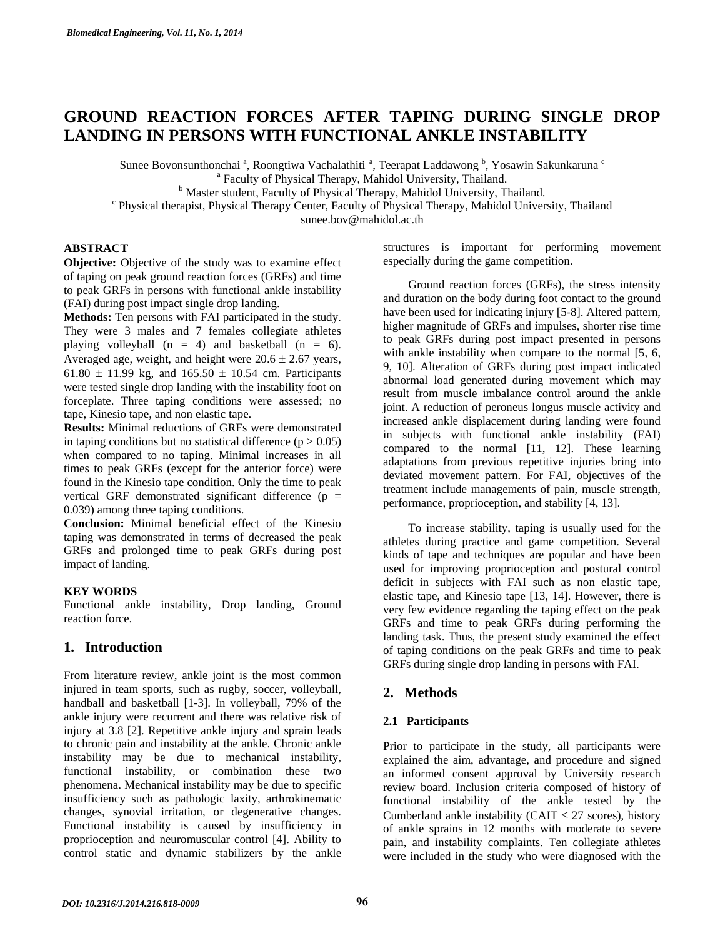# **GROUND REACTION FORCES AFTER TAPING DURING SINGLE DROP LANDING IN PERSONS WITH FUNCTIONAL ANKLE INSTABILITY**

Sunee Bovonsunthonchai<sup>a</sup>, Roongtiwa Vachalathiti<sup>a</sup>, Teerapat Laddawong <sup>b</sup>, Yosawin Sakunkaruna <sup>c</sup>

<sup>a</sup> Faculty of Physical Therapy, Mahidol University, Thailand.  $\mu_{\rm b}^{\rm b}$  Faculty of Physical Therapy, Mahidol University, Thailand.

<sup>6</sup> Master student, Faculty of Physical Therapy, Mahidol University, Thailand. <sup>c</sup> Physical therapist, Physical Therapy, Contagnetic Sphysical Therapy, Mahidol University

Physical therapist, Physical Therapy Center, Faculty of Physical Therapy, Mahidol University, Thailand

sunee.bov@mahidol.ac.th

# **ABSTRACT**

**Objective:** Objective of the study was to examine effect of taping on peak ground reaction forces (GRFs) and time to peak GRFs in persons with functional ankle instability (FAI) during post impact single drop landing.

**Methods:** Ten persons with FAI participated in the study. They were 3 males and 7 females collegiate athletes playing volleyball  $(n = 4)$  and basketball  $(n = 6)$ . Averaged age, weight, and height were  $20.6 \pm 2.67$  years, 61.80  $\pm$  11.99 kg, and 165.50  $\pm$  10.54 cm. Participants were tested single drop landing with the instability foot on forceplate. Three taping conditions were assessed; no tape, Kinesio tape, and non elastic tape.

**Results:** Minimal reductions of GRFs were demonstrated in taping conditions but no statistical difference  $(p > 0.05)$ when compared to no taping. Minimal increases in all times to peak GRFs (except for the anterior force) were found in the Kinesio tape condition. Only the time to peak vertical GRF demonstrated significant difference  $(p =$ 0.039) among three taping conditions.

**Conclusion:** Minimal beneficial effect of the Kinesio taping was demonstrated in terms of decreased the peak GRFs and prolonged time to peak GRFs during post impact of landing.

#### **KEY WORDS**

Functional ankle instability, Drop landing, Ground reaction force.

# **1. Introduction**

From literature review, ankle joint is the most common injured in team sports, such as rugby, soccer, volleyball, handball and basketball [1-3]. In volleyball, 79% of the ankle injury were recurrent and there was relative risk of injury at 3.8 [2]. Repetitive ankle injury and sprain leads to chronic pain and instability at the ankle. Chronic ankle instability may be due to mechanical instability, functional instability, or combination these two phenomena. Mechanical instability may be due to specific insufficiency such as pathologic laxity, arthrokinematic changes, synovial irritation, or degenerative changes. Functional instability is caused by insufficiency in proprioception and neuromuscular control [4]. Ability to control static and dynamic stabilizers by the ankle

structures is important for performing movement especially during the game competition.

Ground reaction forces (GRFs), the stress intensity and duration on the body during foot contact to the ground have been used for indicating injury [5-8]. Altered pattern, higher magnitude of GRFs and impulses, shorter rise time to peak GRFs during post impact presented in persons with ankle instability when compare to the normal [5, 6, 9, 10]. Alteration of GRFs during post impact indicated abnormal load generated during movement which may result from muscle imbalance control around the ankle joint. A reduction of peroneus longus muscle activity and increased ankle displacement during landing were found in subjects with functional ankle instability (FAI) compared to the normal [11, 12]. These learning adaptations from previous repetitive injuries bring into deviated movement pattern. For FAI, objectives of the treatment include managements of pain, muscle strength, performance, proprioception, and stability [4, 13].

To increase stability, taping is usually used for the athletes during practice and game competition. Several kinds of tape and techniques are popular and have been used for improving proprioception and postural control deficit in subjects with FAI such as non elastic tape, elastic tape, and Kinesio tape [13, 14]. However, there is very few evidence regarding the taping effect on the peak GRFs and time to peak GRFs during performing the landing task. Thus, the present study examined the effect of taping conditions on the peak GRFs and time to peak GRFs during single drop landing in persons with FAI.

# **2. Methods**

### **2.1 Participants**

Prior to participate in the study, all participants were explained the aim, advantage, and procedure and signed an informed consent approval by University research review board. Inclusion criteria composed of history of functional instability of the ankle tested by the Cumberland ankle instability (CAIT  $\leq$  27 scores), history of ankle sprains in 12 months with moderate to severe pain, and instability complaints. Ten collegiate athletes were included in the study who were diagnosed with the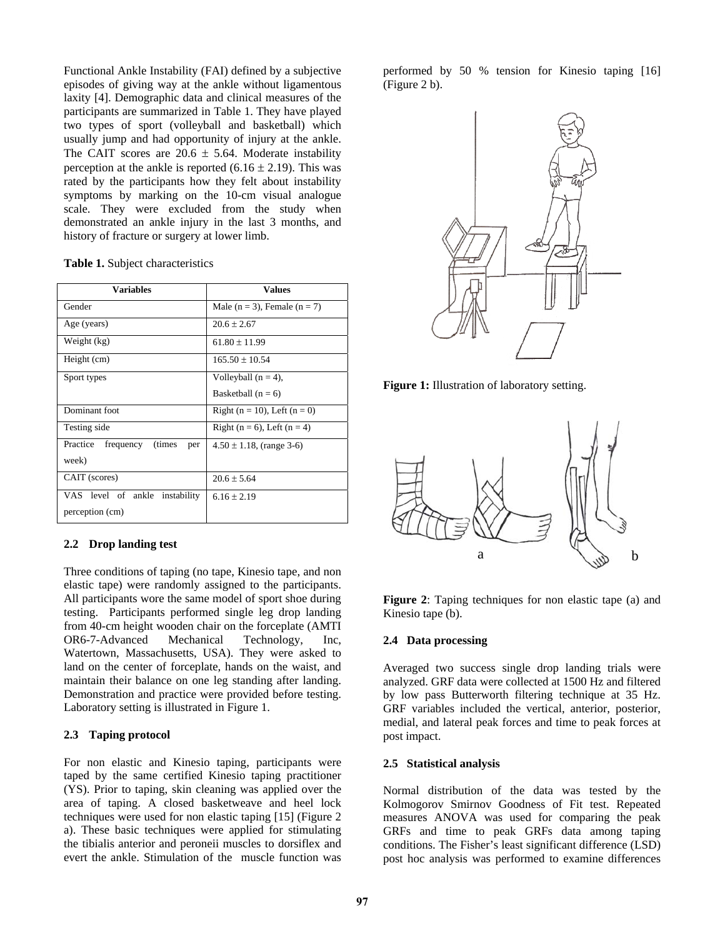Functional Ankle Instability (FAI) defined by a subjective episodes of giving way at the ankle without ligamentous laxity [4]. Demographic data and clinical measures of the participants are summarized in Table 1. They have played two types of sport (volleyball and basketball) which usually jump and had opportunity of injury at the ankle. The CAIT scores are  $20.6 \pm 5.64$ . Moderate instability perception at the ankle is reported  $(6.16 \pm 2.19)$ . This was rated by the participants how they felt about instability symptoms by marking on the 10-cm visual analogue scale. They were excluded from the study when demonstrated an ankle injury in the last 3 months, and history of fracture or surgery at lower limb.

| Table 1. Subject characteristics |
|----------------------------------|
|----------------------------------|

| <b>Variables</b>                        | <b>Values</b>                        |  |  |  |
|-----------------------------------------|--------------------------------------|--|--|--|
| Gender                                  | Male ( $n = 3$ ), Female ( $n = 7$ ) |  |  |  |
| Age (years)                             | $20.6 + 2.67$                        |  |  |  |
| Weight (kg)                             | $61.80 \pm 11.99$                    |  |  |  |
| Height (cm)                             | $165.50 + 10.54$                     |  |  |  |
| Sport types                             | Volleyball $(n = 4)$ ,               |  |  |  |
|                                         | Basketball $(n = 6)$                 |  |  |  |
| Dominant foot                           | Right ( $n = 10$ ), Left ( $n = 0$ ) |  |  |  |
| Testing side                            | Right ( $n = 6$ ), Left ( $n = 4$ )  |  |  |  |
| Practice<br>frequency<br>(times)<br>per | $4.50 \pm 1.18$ , (range 3-6)        |  |  |  |
| week)                                   |                                      |  |  |  |
| CAIT (scores)                           | $20.6 \pm 5.64$                      |  |  |  |
| VAS level of ankle<br>instability       | $6.16 \pm 2.19$                      |  |  |  |
| perception (cm)                         |                                      |  |  |  |

#### **2.2 Drop landing test**

Three conditions of taping (no tape, Kinesio tape, and non elastic tape) were randomly assigned to the participants. All participants wore the same model of sport shoe during testing. Participants performed single leg drop landing from 40-cm height wooden chair on the forceplate (AMTI OR6-7-Advanced Mechanical Technology, Inc, Watertown, Massachusetts, USA). They were asked to land on the center of forceplate, hands on the waist, and maintain their balance on one leg standing after landing. Demonstration and practice were provided before testing. Laboratory setting is illustrated in Figure 1.

### **2.3 Taping protocol**

For non elastic and Kinesio taping, participants were taped by the same certified Kinesio taping practitioner (YS). Prior to taping, skin cleaning was applied over the area of taping. A closed basketweave and heel lock techniques were used for non elastic taping [15] (Figure 2 a). These basic techniques were applied for stimulating the tibialis anterior and peroneii muscles to dorsiflex and evert the ankle. Stimulation of the muscle function was

performed by 50 % tension for Kinesio taping [16] (Figure 2 b).



**Figure 1:** Illustration of laboratory setting.



**Figure 2**: Taping techniques for non elastic tape (a) and Kinesio tape (b).

#### **2.4 Data processing**

Averaged two success single drop landing trials were analyzed. GRF data were collected at 1500 Hz and filtered by low pass Butterworth filtering technique at 35 Hz. GRF variables included the vertical, anterior, posterior, medial, and lateral peak forces and time to peak forces at post impact.

# **2.5 Statistical analysis**

Normal distribution of the data was tested by the Kolmogorov Smirnov Goodness of Fit test. Repeated measures ANOVA was used for comparing the peak GRFs and time to peak GRFs data among taping conditions. The Fisher's least significant difference (LSD) post hoc analysis was performed to examine differences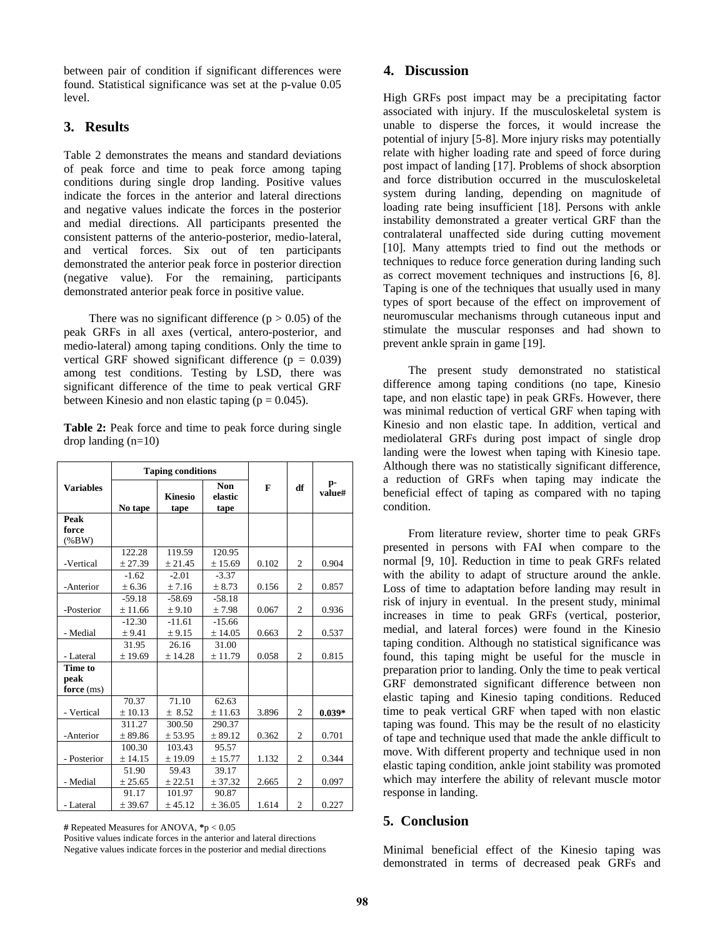between pair of condition if significant differences were found. Statistical significance was set at the p-value 0.05 level.

### **3. Results**

Table 2 demonstrates the means and standard deviations of peak force and time to peak force among taping conditions during single drop landing. Positive values indicate the forces in the anterior and lateral directions and negative values indicate the forces in the posterior and medial directions. All participants presented the consistent patterns of the anterio-posterior, medio-lateral, and vertical forces. Six out of ten participants demonstrated the anterior peak force in posterior direction (negative value). For the remaining, participants demonstrated anterior peak force in positive value.

There was no significant difference  $(p > 0.05)$  of the peak GRFs in all axes (vertical, antero-posterior, and medio-lateral) among taping conditions. Only the time to vertical GRF showed significant difference ( $p = 0.039$ ) among test conditions. Testing by LSD, there was significant difference of the time to peak vertical GRF between Kinesio and non elastic taping ( $p = 0.045$ ).

**Table 2:** Peak force and time to peak force during single drop landing (n=10)

|                    | <b>Taping conditions</b> |                        |                        |       |                |              |
|--------------------|--------------------------|------------------------|------------------------|-------|----------------|--------------|
| <b>Variables</b>   | No tape                  | <b>Kinesio</b><br>tape | Non<br>elastic<br>tape | F     | df             | p-<br>value# |
| Peak               |                          |                        |                        |       |                |              |
| force<br>$(\%BW)$  |                          |                        |                        |       |                |              |
|                    | 122.28                   | 119.59                 | 120.95                 |       |                |              |
| -Vertical          | ± 27.39                  | ± 21.45                | ± 15.69                | 0.102 | $\overline{c}$ | 0.904        |
|                    | $-1.62$                  | $-2.01$                | $-3.37$                |       |                |              |
| -Anterior          | ± 6.36                   | ± 7.16                 | ± 8.73                 | 0.156 | 2              | 0.857        |
|                    | $-59.18$                 | $-58.69$               | $-58.18$               |       |                |              |
| -Posterior         | ± 11.66                  | ± 9.10                 | ±7.98                  | 0.067 | $\overline{c}$ | 0.936        |
|                    | $-12.30$                 | $-11.61$               | $-15.66$               |       |                |              |
| - Medial           | ± 9.41                   | ± 9.15                 | ± 14.05                | 0.663 | $\overline{c}$ | 0.537        |
|                    | 31.95                    | 26.16                  | 31.00                  |       |                |              |
| - Lateral          | ± 19.69                  | ± 14.28                | ± 11.79                | 0.058 | 2              | 0.815        |
| Time to            |                          |                        |                        |       |                |              |
| peak<br>force (ms) |                          |                        |                        |       |                |              |
|                    | 70.37                    | 71.10                  | 62.63                  |       |                |              |
| - Vertical         | ± 10.13                  | ± 8.52                 | ± 11.63                | 3.896 | $\overline{c}$ | $0.039*$     |
|                    | 311.27                   | 300.50                 | 290.37                 |       |                |              |
| -Anterior          | ± 89.86                  | ± 53.95                | ± 89.12                | 0.362 | $\overline{c}$ | 0.701        |
|                    | 100.30                   | 103.43                 | 95.57                  |       |                |              |
| - Posterior        | ± 14.15                  | ± 19.09                | ± 15.77                | 1.132 | $\overline{c}$ | 0.344        |
|                    | 51.90                    | 59.43                  | 39.17                  |       |                |              |
| - Medial           | ± 25.65                  | ± 22.51                | ± 37.32                | 2.665 | 2              | 0.097        |
|                    | 91.17                    | 101.97                 | 90.87                  |       |                |              |
| - Lateral          | ± 39.67                  | ± 45.12                | ± 36.05                | 1.614 | $\overline{2}$ | 0.227        |

**#** Repeated Measures for ANOVA, **\***p < 0.05

Positive values indicate forces in the anterior and lateral directions Negative values indicate forces in the posterior and medial directions

# **4. Discussion**

High GRFs post impact may be a precipitating factor associated with injury. If the musculoskeletal system is unable to disperse the forces, it would increase the potential of injury [5-8]. More injury risks may potentially relate with higher loading rate and speed of force during post impact of landing [17]. Problems of shock absorption and force distribution occurred in the musculoskeletal system during landing, depending on magnitude of loading rate being insufficient [18]. Persons with ankle instability demonstrated a greater vertical GRF than the contralateral unaffected side during cutting movement [10]. Many attempts tried to find out the methods or techniques to reduce force generation during landing such as correct movement techniques and instructions [6, 8]. Taping is one of the techniques that usually used in many types of sport because of the effect on improvement of neuromuscular mechanisms through cutaneous input and stimulate the muscular responses and had shown to prevent ankle sprain in game [19].

 The present study demonstrated no statistical difference among taping conditions (no tape, Kinesio tape, and non elastic tape) in peak GRFs. However, there was minimal reduction of vertical GRF when taping with Kinesio and non elastic tape. In addition, vertical and mediolateral GRFs during post impact of single drop landing were the lowest when taping with Kinesio tape. Although there was no statistically significant difference, a reduction of GRFs when taping may indicate the beneficial effect of taping as compared with no taping condition.

 From literature review, shorter time to peak GRFs presented in persons with FAI when compare to the normal [9, 10]. Reduction in time to peak GRFs related with the ability to adapt of structure around the ankle. Loss of time to adaptation before landing may result in risk of injury in eventual. In the present study, minimal increases in time to peak GRFs (vertical, posterior, medial, and lateral forces) were found in the Kinesio taping condition. Although no statistical significance was found, this taping might be useful for the muscle in preparation prior to landing. Only the time to peak vertical GRF demonstrated significant difference between non elastic taping and Kinesio taping conditions. Reduced time to peak vertical GRF when taped with non elastic taping was found. This may be the result of no elasticity of tape and technique used that made the ankle difficult to move. With different property and technique used in non elastic taping condition, ankle joint stability was promoted which may interfere the ability of relevant muscle motor response in landing.

# **5. Conclusion**

Minimal beneficial effect of the Kinesio taping was demonstrated in terms of decreased peak GRFs and